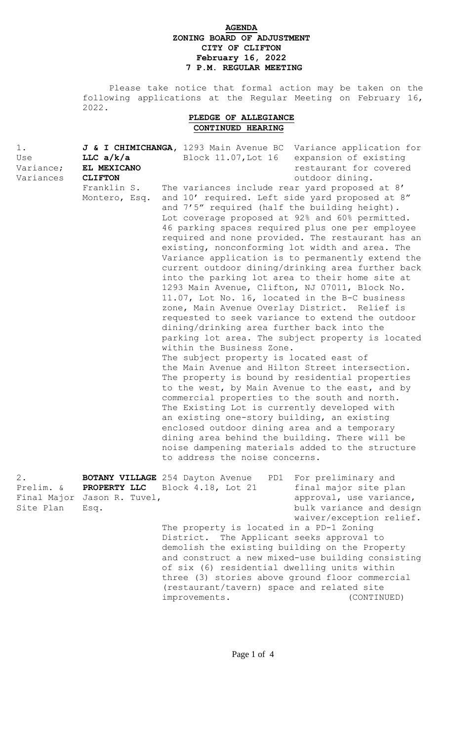# **AGENDA ZONING BOARD OF ADJUSTMENT CITY OF CLIFTON February 16, 2022 7 P.M. REGULAR MEETING**

 Please take notice that formal action may be taken on the following applications at the Regular Meeting on February 16, 2022.

## **PLEDGE OF ALLEGIANCE CONTINUED HEARING**

| $1$ .<br>Use<br>Variance;<br>Variances         | LLC $a/k/a$<br>EL MEXICANO<br><b>CLIFTON</b><br>Franklin S.<br>Montero, Esq. | J & I CHIMICHANGA, 1293 Main Avenue BC Variance application for<br>Block 11.07, Lot 16<br>The variances include rear yard proposed at 8'<br>and 10' required. Left side yard proposed at 8"<br>and 7'5" required (half the building height).<br>Lot coverage proposed at 92% and 60% permitted.<br>46 parking spaces required plus one per employee<br>existing, nonconforming lot width and area. The<br>into the parking lot area to their home site at<br>1293 Main Avenue, Clifton, NJ 07011, Block No.<br>11.07, Lot No. 16, located in the B-C business<br>zone, Main Avenue Overlay District. Relief is<br>requested to seek variance to extend the outdoor<br>dining/drinking area further back into the<br>within the Business Zone.<br>The subject property is located east of<br>the Main Avenue and Hilton Street intersection.<br>The property is bound by residential properties<br>to the west, by Main Avenue to the east, and by<br>commercial properties to the south and north.<br>The Existing Lot is currently developed with<br>an existing one-story building, an existing<br>enclosed outdoor dining area and a temporary<br>dining area behind the building. There will be<br>noise dampening materials added to the structure<br>to address the noise concerns. | expansion of existing<br>restaurant for covered<br>outdoor dining.<br>required and none provided. The restaurant has an<br>Variance application is to permanently extend the<br>current outdoor dining/drinking area further back<br>parking lot area. The subject property is located |
|------------------------------------------------|------------------------------------------------------------------------------|-------------------------------------------------------------------------------------------------------------------------------------------------------------------------------------------------------------------------------------------------------------------------------------------------------------------------------------------------------------------------------------------------------------------------------------------------------------------------------------------------------------------------------------------------------------------------------------------------------------------------------------------------------------------------------------------------------------------------------------------------------------------------------------------------------------------------------------------------------------------------------------------------------------------------------------------------------------------------------------------------------------------------------------------------------------------------------------------------------------------------------------------------------------------------------------------------------------------------------------------------------------------------------------------|----------------------------------------------------------------------------------------------------------------------------------------------------------------------------------------------------------------------------------------------------------------------------------------|
| $2$ .<br>Prelim. &<br>Final Major<br>Site Plan | PROPERTY LLC<br>Jason R. Tuvel,<br>Esq.                                      | <b>BOTANY VILLAGE</b> 254 Dayton Avenue<br>PD1<br>Block 4.18, Lot 21<br>The property is located in a PD-1 Zoning<br>District. The Applicant seeks approval to<br>demolish the existing building on the Property<br>of six (6) residential dwelling units within<br>three (3) stories above ground floor commercial<br>(restaurant/tavern) space and related site<br>improvements.                                                                                                                                                                                                                                                                                                                                                                                                                                                                                                                                                                                                                                                                                                                                                                                                                                                                                                         | For preliminary and<br>final major site plan<br>approval, use variance,<br>bulk variance and design<br>waiver/exception relief.<br>and construct a new mixed-use building consisting<br>(CONTINUED)                                                                                    |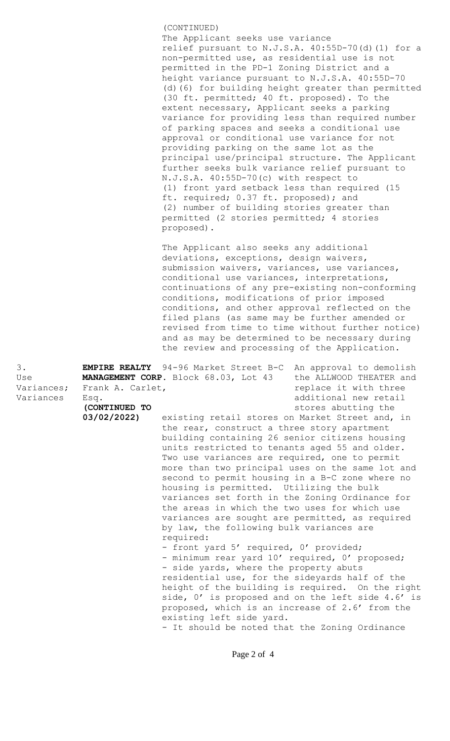(CONTINUED) The Applicant seeks use variance relief pursuant to N.J.S.A. 40:55D-70(d)(1) for a non-permitted use, as residential use is not permitted in the PD-1 Zoning District and a height variance pursuant to N.J.S.A. 40:55D-70 (d)(6) for building height greater than permitted (30 ft. permitted; 40 ft. proposed). To the extent necessary, Applicant seeks a parking variance for providing less than required number of parking spaces and seeks a conditional use approval or conditional use variance for not providing parking on the same lot as the principal use/principal structure. The Applicant further seeks bulk variance relief pursuant to N.J.S.A. 40:55D-70(c) with respect to (1) front yard setback less than required (15 ft. required; 0.37 ft. proposed); and (2) number of building stories greater than permitted (2 stories permitted; 4 stories proposed).

The Applicant also seeks any additional deviations, exceptions, design waivers, submission waivers, variances, use variances, conditional use variances, interpretations, continuations of any pre-existing non-conforming conditions, modifications of prior imposed conditions, and other approval reflected on the filed plans (as same may be further amended or revised from time to time without further notice) and as may be determined to be necessary during the review and processing of the Application.

3. **EMPIRE REALTY** 94-96 Market Street B-C An approval to demolish Use **MANAGEMENT CORP.** Block 68.03, Lot 43 the ALLWOOD THEATER and Variances; Frank A. Carlet, The Controller of the replace it with three Variances Esq. 2008 additional new retail **(CONTINUED TO** and **continued the stores** abutting the **03/02/2022)** existing retail stores on Market Street and, in the rear, construct a three story apartment building containing 26 senior citizens housing units restricted to tenants aged 55 and older. Two use variances are required, one to permit more than two principal uses on the same lot and second to permit housing in a B-C zone where no housing is permitted. Utilizing the bulk variances set forth in the Zoning Ordinance for the areas in which the two uses for which use variances are sought are permitted, as required by law, the following bulk variances are required: - front yard 5' required, 0' provided; - minimum rear yard 10' required, 0' proposed; - side yards, where the property abuts residential use, for the sideyards half of the height of the building is required. On the right side, 0' is proposed and on the left side 4.6' is proposed, which is an increase of 2.6' from the existing left side yard. - It should be noted that the Zoning Ordinance

Page 2 of 4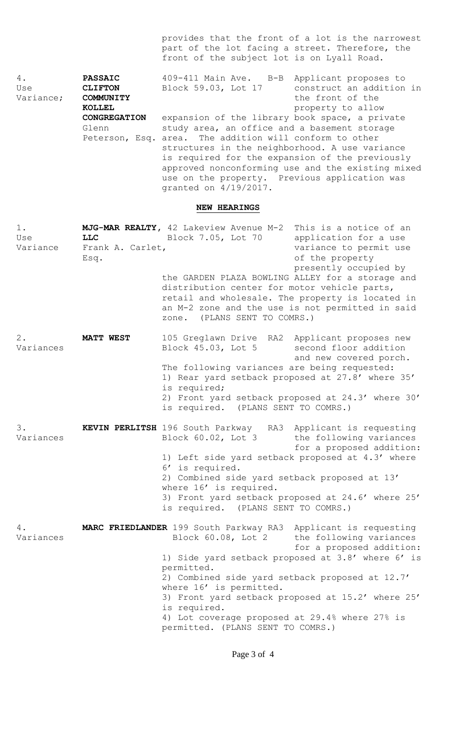provides that the front of a lot is the narrowest part of the lot facing a street. Therefore, the front of the subject lot is on Lyall Road.

4. **PASSAIC** 409-411 Main Ave. B-B Applicant proposes to<br>Use **CLIFTON** Block 59.03, Lot 17 construct an addition Use **CLIFTON** Block 59.03, Lot 17 construct an addition in Variance; **COMMUNITY COMMUNITY** the front of the **KOLLEL EXECUTE: PROPERTY** to allow **CONGREGATION** expansion of the library book space, a private Glenn study area, an office and a basement storage Peterson, Esq. area. The addition will conform to other structures in the neighborhood. A use variance is required for the expansion of the previously approved nonconforming use and the existing mixed use on the property. Previous application was granted on 4/19/2017.

### **NEW HEARINGS**

| $1$ .<br>Use<br>Variance | <b>LLC</b><br>Frank A. Carlet,<br>Esq. | MJG-MAR REALTY, 42 Lakeview Avenue M-2 This is a notice of an<br>Block 7.05, Lot 70<br>the GARDEN PLAZA BOWLING ALLEY for a storage and<br>distribution center for motor vehicle parts,<br>retail and wholesale. The property is located in<br>an M-2 zone and the use is not permitted in said<br>(PLANS SENT TO COMRS.)<br>zone. | application for a use<br>variance to permit use<br>of the property<br>presently occupied by                                                                                              |
|--------------------------|----------------------------------------|------------------------------------------------------------------------------------------------------------------------------------------------------------------------------------------------------------------------------------------------------------------------------------------------------------------------------------|------------------------------------------------------------------------------------------------------------------------------------------------------------------------------------------|
| $2$ .<br>Variances       | <b>MATT WEST</b>                       | 105 Greglawn Drive RA2 Applicant proposes new<br>Block 45.03, Lot 5<br>The following variances are being requested:<br>1) Rear yard setback proposed at 27.8' where 35'<br>is required;<br>2) Front yard setback proposed at 24.3' where 30'<br>is required. (PLANS SENT TO COMRS.)                                                | second floor addition<br>and new covered porch.                                                                                                                                          |
| 3.<br>Variances          |                                        | KEVIN PERLITSH 196 South Parkway RA3 Applicant is requesting<br>Block 60.02, Lot 3<br>1) Left side yard setback proposed at 4.3' where<br>6' is required.<br>2) Combined side yard setback proposed at 13'<br>where 16' is required.<br>3) Front yard setback proposed at 24.6' where 25'<br>is required. (PLANS SENT TO COMRS.)   | the following variances<br>for a proposed addition:                                                                                                                                      |
| 4.<br>Variances          |                                        | MARC FRIEDLANDER 199 South Parkway RA3<br>Block 60.08, Lot 2<br>permitted.<br>2) Combined side yard setback proposed at 12.7'<br>where 16' is permitted.<br>is required.<br>4) Lot coverage proposed at 29.4% where 27% is<br>permitted. (PLANS SENT TO COMRS.)                                                                    | Applicant is requesting<br>the following variances<br>for a proposed addition:<br>1) Side yard setback proposed at 3.8' where 6' is<br>3) Front yard setback proposed at 15.2' where 25' |